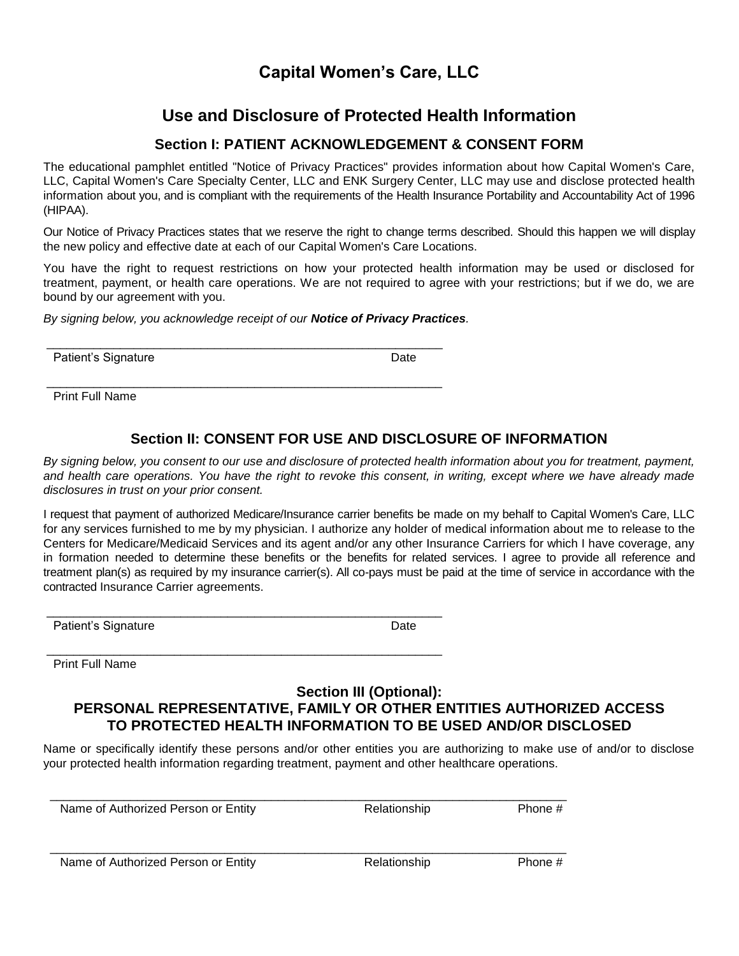## **Capital Women's Care, LLC**

# **Use and Disclosure of Protected Health Information**

### **Section I: PATIENT ACKNOWLEDGEMENT & CONSENT FORM**

The educational pamphlet entitled "Notice of Privacy Practices" provides information about how Capital Women's Care, LLC, Capital Women's Care Specialty Center, LLC and ENK Surgery Center, LLC may use and disclose protected health information about you, and is compliant with the requirements of the Health Insurance Portability and Accountability Act of 1996 (HIPAA).

Our Notice of Privacy Practices states that we reserve the right to change terms described. Should this happen we will display the new policy and effective date at each of our Capital Women's Care Locations.

You have the right to request restrictions on how your protected health information may be used or disclosed for treatment, payment, or health care operations. We are not required to agree with your restrictions; but if we do, we are bound by our agreement with you.

*By signing below, you acknowledge receipt of our Notice of Privacy Practices.*

\_\_\_\_\_\_\_\_\_\_\_\_\_\_\_\_\_\_\_\_\_\_\_\_\_\_\_\_\_\_\_\_\_\_\_\_\_\_\_\_\_\_\_\_\_\_\_\_\_\_\_\_\_\_\_\_\_\_\_

\_\_\_\_\_\_\_\_\_\_\_\_\_\_\_\_\_\_\_\_\_\_\_\_\_\_\_\_\_\_\_\_\_\_\_\_\_\_\_\_\_\_\_\_\_\_\_\_\_\_\_\_\_\_\_\_\_\_\_

\_\_\_\_\_\_\_\_\_\_\_\_\_\_\_\_\_\_\_\_\_\_\_\_\_\_\_\_\_\_\_\_\_\_\_\_\_\_\_\_\_\_\_\_\_\_\_\_\_\_\_\_\_\_\_\_\_\_\_

Patient's Signature Date Date

Print Full Name

### **Section II: CONSENT FOR USE AND DISCLOSURE OF INFORMATION**

*By signing below, you consent to our use and disclosure of protected health information about you for treatment, payment,*  and health care operations. You have the right to revoke this consent, in writing, except where we have already made *disclosures in trust on your prior consent.*

I request that payment of authorized Medicare/Insurance carrier benefits be made on my behalf to Capital Women's Care, LLC for any services furnished to me by my physician. I authorize any holder of medical information about me to release to the Centers for Medicare/Medicaid Services and its agent and/or any other Insurance Carriers for which I have coverage, any in formation needed to determine these benefits or the benefits for related services. I agree to provide all reference and treatment plan(s) as required by my insurance carrier(s). All co-pays must be paid at the time of service in accordance with the contracted Insurance Carrier agreements.

Patient's Signature Date

\_\_\_\_\_\_\_\_\_\_\_\_\_\_\_\_\_\_\_\_\_\_\_\_\_\_\_\_\_\_\_\_\_\_\_\_\_\_\_\_\_\_\_\_\_\_\_\_\_\_\_\_\_\_\_\_\_\_\_ Print Full Name

#### **Section III (Optional): PERSONAL REPRESENTATIVE, FAMILY OR OTHER ENTITIES AUTHORIZED ACCESS TO PROTECTED HEALTH INFORMATION TO BE USED AND/OR DISCLOSED**

Name or specifically identify these persons and/or other entities you are authorizing to make use of and/or to disclose your protected health information regarding treatment, payment and other healthcare operations.

\_\_\_\_\_\_\_\_\_\_\_\_\_\_\_\_\_\_\_\_\_\_\_\_\_\_\_\_\_\_\_\_\_\_\_\_\_\_\_\_\_\_\_\_\_\_\_\_\_\_\_\_\_\_\_\_\_\_\_\_\_\_\_\_\_\_\_\_\_\_\_\_\_\_\_\_\_

 \_\_\_\_\_\_\_\_\_\_\_\_\_\_\_\_\_\_\_\_\_\_\_\_\_\_\_\_\_\_\_\_\_\_\_\_\_\_\_\_\_\_\_\_\_\_\_\_\_\_\_\_\_\_\_\_\_\_\_\_\_\_\_\_\_\_\_\_\_\_\_\_\_\_\_\_\_ Name of Authorized Person or Entity **Relationship** Relationship Phone #

Name of Authorized Person or Entity **Relationship** Phone #